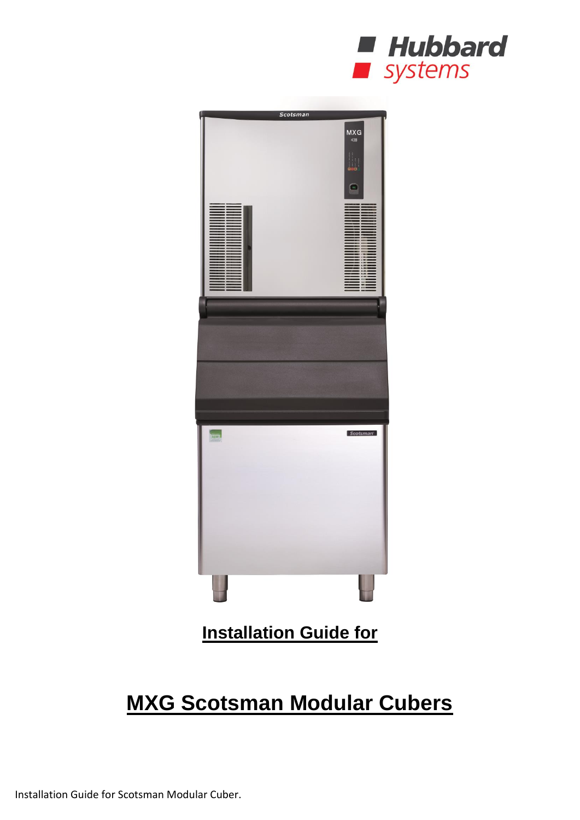



# **MXG Scotsman Modular Cubers**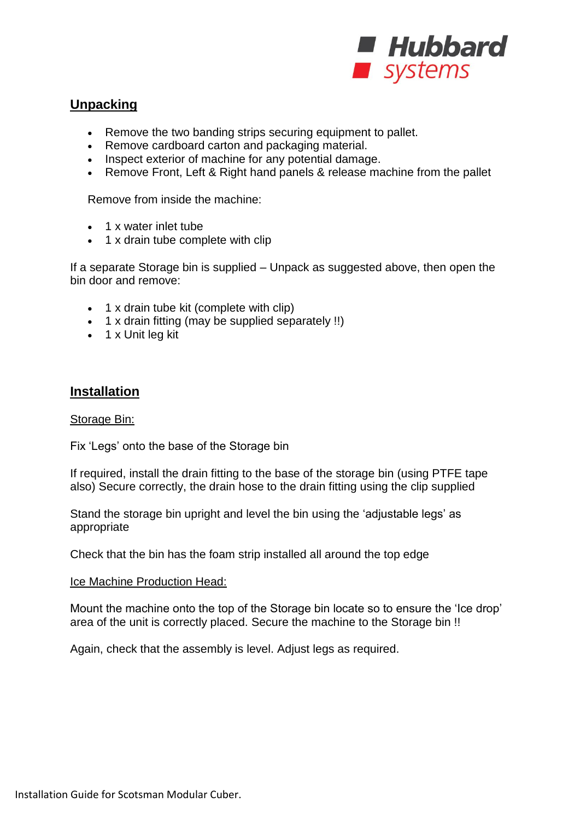

## **Unpacking**

- Remove the two banding strips securing equipment to pallet.
- Remove cardboard carton and packaging material.
- Inspect exterior of machine for any potential damage.
- Remove Front, Left & Right hand panels & release machine from the pallet

Remove from inside the machine:

- 1 x water inlet tube
- 1 x drain tube complete with clip

If a separate Storage bin is supplied – Unpack as suggested above, then open the bin door and remove:

- 1 x drain tube kit (complete with clip)
- $\bullet$  1 x drain fitting (may be supplied separately !!)
- $\bullet$  1 x Unit leg kit

### **Installation**

#### Storage Bin:

Fix 'Legs' onto the base of the Storage bin

If required, install the drain fitting to the base of the storage bin (using PTFE tape also) Secure correctly, the drain hose to the drain fitting using the clip supplied

Stand the storage bin upright and level the bin using the 'adjustable legs' as appropriate

Check that the bin has the foam strip installed all around the top edge

#### Ice Machine Production Head:

Mount the machine onto the top of the Storage bin locate so to ensure the 'Ice drop' area of the unit is correctly placed. Secure the machine to the Storage bin !!

Again, check that the assembly is level. Adjust legs as required.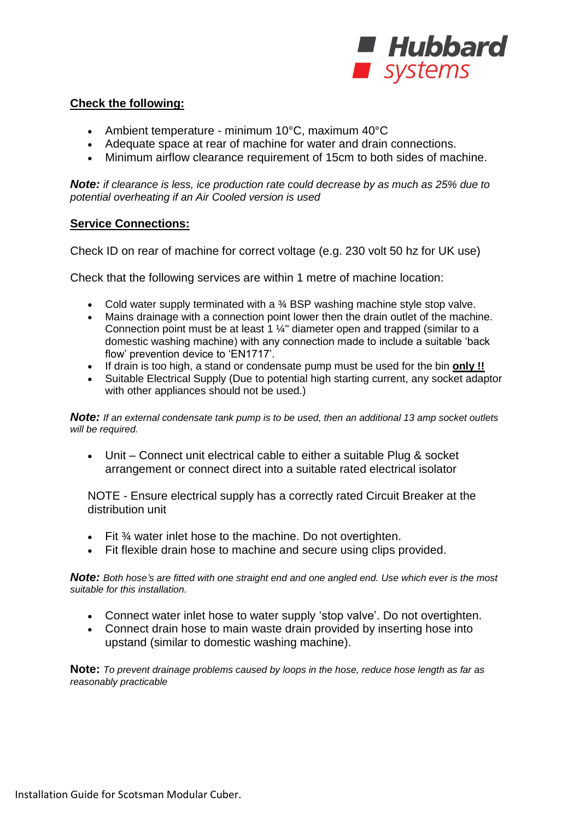

#### **Check the following:**

- Ambient temperature minimum 10°C, maximum 40°C
- Adequate space at rear of machine for water and drain connections.
- Minimum airflow clearance requirement of 15cm to both sides of machine.

*Note: if clearance is less, ice production rate could decrease by as much as 25% due to potential overheating if an Air Cooled version is used*

#### **Service Connections:**

Check ID on rear of machine for correct voltage (e.g. 230 volt 50 hz for UK use)

Check that the following services are within 1 metre of machine location:

- Cold water supply terminated with a  $\frac{3}{4}$  BSP washing machine style stop valve.
- Mains drainage with a connection point lower then the drain outlet of the machine. Connection point must be at least 1 ¼" diameter open and trapped (similar to a domestic washing machine) with any connection made to include a suitable 'back flow' prevention device to 'EN1717'.
- If drain is too high, a stand or condensate pump must be used for the bin **only !!**
- Suitable Electrical Supply (Due to potential high starting current, any socket adaptor with other appliances should not be used.)

*Note: If an external condensate tank pump is to be used, then an additional 13 amp socket outlets will be required.*

 Unit – Connect unit electrical cable to either a suitable Plug & socket arrangement or connect direct into a suitable rated electrical isolator

NOTE - Ensure electrical supply has a correctly rated Circuit Breaker at the distribution unit

- Fit ¾ water inlet hose to the machine. Do not overtighten.
- Fit flexible drain hose to machine and secure using clips provided.

*Note: Both hose's are fitted with one straight end and one angled end. Use which ever is the most suitable for this installation.*

- Connect water inlet hose to water supply 'stop valve'. Do not overtighten.
- Connect drain hose to main waste drain provided by inserting hose into upstand (similar to domestic washing machine).

**Note:** *To prevent drainage problems caused by loops in the hose, reduce hose length as far as reasonably practicable*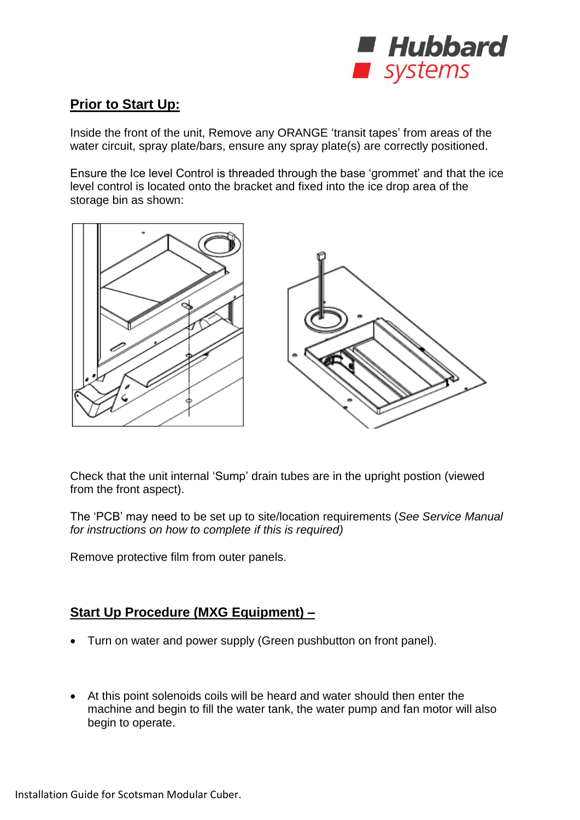

# **Prior to Start Up:**

Inside the front of the unit, Remove any ORANGE 'transit tapes' from areas of the water circuit, spray plate/bars, ensure any spray plate(s) are correctly positioned.

Ensure the Ice level Control is threaded through the base 'grommet' and that the ice level control is located onto the bracket and fixed into the ice drop area of the storage bin as shown:



Check that the unit internal 'Sump' drain tubes are in the upright postion (viewed from the front aspect).

The 'PCB' may need to be set up to site/location requirements (*See Service Manual for instructions on how to complete if this is required)*

Remove protective film from outer panels.

## **Start Up Procedure (MXG Equipment) –**

- Turn on water and power supply (Green pushbutton on front panel).
- At this point solenoids coils will be heard and water should then enter the machine and begin to fill the water tank, the water pump and fan motor will also begin to operate.